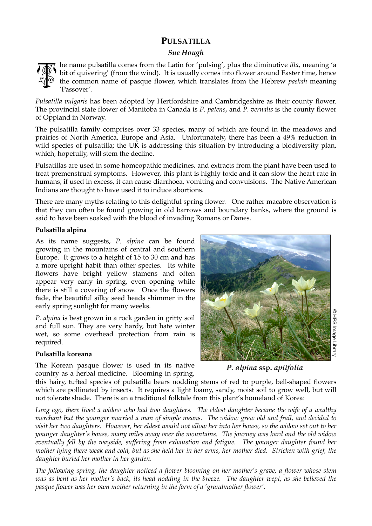# **PULSATILLA**

## *Sue Hough*



he name pulsatilla comes from the Latin for 'pulsing', plus the diminutive *illa*, meaning 'a bit of quivering' (from the wind). It is usually comes into flower around Easter time, hence the common name of pasque flower, which translates from the Hebrew *paskah* meaning 'Passover'.

*Pulsatilla vulgaris* has been adopted by Hertfordshire and Cambridgeshire as their county flower. The provincial state flower of Manitoba in Canada is *P. patens*, and *P. vernalis* is the county flower of Oppland in Norway.

The pulsatilla family comprises over 33 species, many of which are found in the meadows and prairies of North America, Europe and Asia. Unfortunately, there has been a 49% reduction in wild species of pulsatilla; the UK is addressing this situation by introducing a biodiversity plan, which, hopefully, will stem the decline.

Pulsatillas are used in some homeopathic medicines, and extracts from the plant have been used to treat premenstrual symptoms. However, this plant is highly toxic and it can slow the heart rate in humans; if used in excess, it can cause diarrhoea, vomiting and convulsions. The Native American Indians are thought to have used it to induce abortions.

There are many myths relating to this delightful spring flower. One rather macabre observation is that they can often be found growing in old barrows and boundary banks, where the ground is said to have been soaked with the blood of invading Romans or Danes.

### **Pulsatilla alpina**

As its name suggests, *P. alpina* can be found growing in the mountains of central and southern Europe. It grows to a height of 15 to 30 cm and has a more upright habit than other species. Its white flowers have bright yellow stamens and often appear very early in spring, even opening while there is still a covering of snow. Once the flowers fade, the beautiful silky seed heads shimmer in the early spring sunlight for many weeks.

*P. alpina* is best grown in a rock garden in gritty soil and full sun. They are very hardy, but hate winter wet, so some overhead protection from rain is required.

### **Pulsatilla koreana**

The Korean pasque flower is used in its native country as a herbal medicine. Blooming in spring,



*P. alpina* **ssp.** *apiifolia*

this hairy, tufted species of pulsatilla bears nodding stems of red to purple, bell-shaped flowers which are pollinated by insects. It requires a light loamy, sandy, moist soil to grow well, but will not tolerate shade. There is an a traditional folktale from this plant's homeland of Korea:

*Long ago, there lived a widow who had two daughters. The eldest daughter became the wife of a wealthy merchant but the younger married a man of simple means. The widow grew old and frail, and decided to visit her two daughters. However, her eldest would not allow her into her house, so the widow set out to her younger daughter's house, many miles away over the mountains. The journey was hard and the old widow eventually fell by the wayside, suffering from exhaustion and fatigue. The younger daughter found her mother lying there weak and cold, but as she held her in her arms, her mother died. Stricken with grief, the daughter buried her mother in her garden.* 

*The following spring, the daughter noticed a flower blooming on her mother's grave, a flower whose stem was as bent as her mother's back, its head nodding in the breeze. The daughter wept, as she believed the pasque flower was her own mother returning in the form of a 'grandmother flower'.*